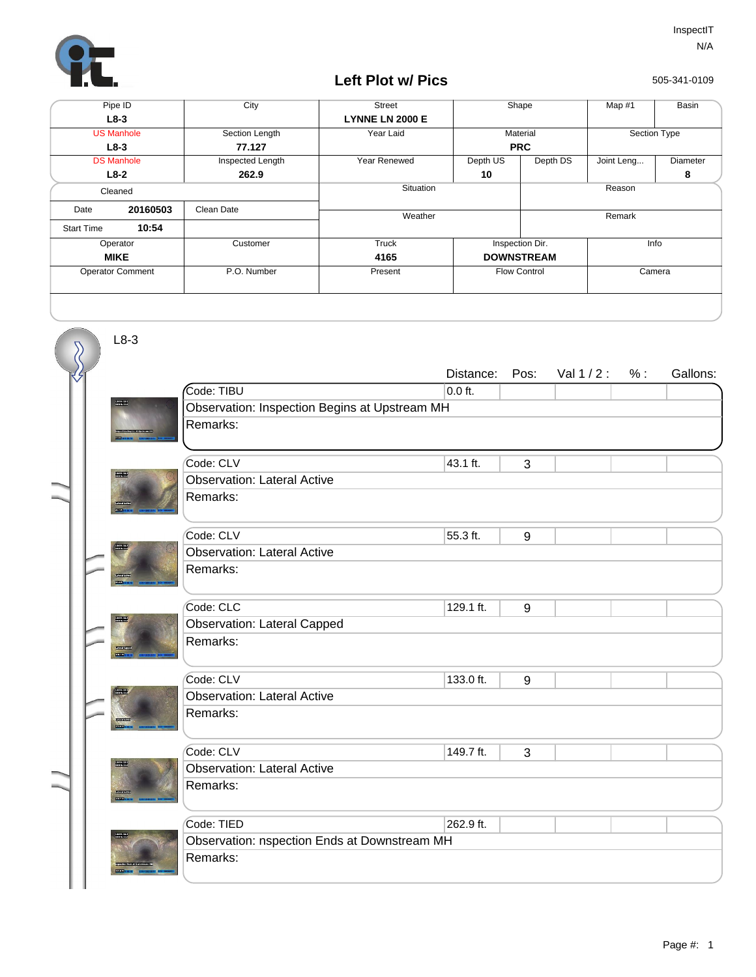

L8-3

## **Left Plot w/ Pics**

505-341-0109

| Pipe ID                 |          | City             | <b>Street</b>          | Shape               |          | Map $#1$     | Basin    |  |
|-------------------------|----------|------------------|------------------------|---------------------|----------|--------------|----------|--|
| $L8-3$                  |          |                  | <b>LYNNE LN 2000 E</b> |                     |          |              |          |  |
| <b>US Manhole</b>       |          | Section Length   | Year Laid              | Material            |          | Section Type |          |  |
| $L8-3$                  |          | 77.127           |                        | <b>PRC</b>          |          |              |          |  |
| <b>DS Manhole</b>       |          | Inspected Length | Year Renewed           | Depth US            | Depth DS | Joint Leng   | Diameter |  |
| $L8-2$                  |          | 262.9            |                        | 10                  |          |              | 8        |  |
| Cleaned                 |          |                  | Situation              |                     |          | Reason       |          |  |
| Date                    | 20160503 | Clean Date       | Weather                |                     |          | Remark       |          |  |
| <b>Start Time</b>       | 10:54    |                  |                        |                     |          |              |          |  |
| Operator                |          | Customer         | Truck                  | Inspection Dir.     |          | Info         |          |  |
| <b>MIKE</b>             |          |                  | 4165                   | <b>DOWNSTREAM</b>   |          |              |          |  |
| <b>Operator Comment</b> |          | P.O. Number      | Present                | <b>Flow Control</b> |          | Camera       |          |  |
|                         |          |                  |                        |                     |          |              |          |  |

|  | $L8-3$            |                                               |           |                |             |     |          |  |
|--|-------------------|-----------------------------------------------|-----------|----------------|-------------|-----|----------|--|
|  |                   |                                               | Distance: | Pos:           | Val $1/2$ : | % : | Gallons: |  |
|  |                   | Code: TIBU                                    | $0.0$ ft. |                |             |     |          |  |
|  |                   | Observation: Inspection Begins at Upstream MH |           |                |             |     |          |  |
|  |                   | Remarks:                                      |           |                |             |     |          |  |
|  |                   | Code: CLV                                     | 43.1 ft.  | 3              |             |     |          |  |
|  | <b>TOWER</b>      | <b>Observation: Lateral Active</b>            |           |                |             |     |          |  |
|  |                   | Remarks:                                      |           |                |             |     |          |  |
|  |                   | Code: CLV                                     | 55.3 ft.  | 9              |             |     |          |  |
|  |                   | <b>Observation: Lateral Active</b>            |           |                |             |     |          |  |
|  |                   | Remarks:                                      |           |                |             |     |          |  |
|  |                   | Code: CLC                                     | 129.1 ft. | $\overline{9}$ |             |     |          |  |
|  | <b>Turned</b>     | <b>Observation: Lateral Capped</b>            |           |                |             |     |          |  |
|  | ang an            | Remarks:                                      |           |                |             |     |          |  |
|  |                   | Code: CLV                                     | 133.0 ft. | 9              |             |     |          |  |
|  |                   | <b>Observation: Lateral Active</b>            |           |                |             |     |          |  |
|  | <b>TELEVISION</b> | Remarks:                                      |           |                |             |     |          |  |
|  |                   | Code: CLV                                     | 149.7 ft. | 3              |             |     |          |  |
|  | <b>March 1944</b> | <b>Observation: Lateral Active</b>            |           |                |             |     |          |  |
|  |                   | Remarks:                                      |           |                |             |     |          |  |
|  |                   | Code: TIED                                    | 262.9 ft. |                |             |     |          |  |
|  |                   | Observation: nspection Ends at Downstream MH  |           |                |             |     |          |  |
|  |                   | Remarks:                                      |           |                |             |     |          |  |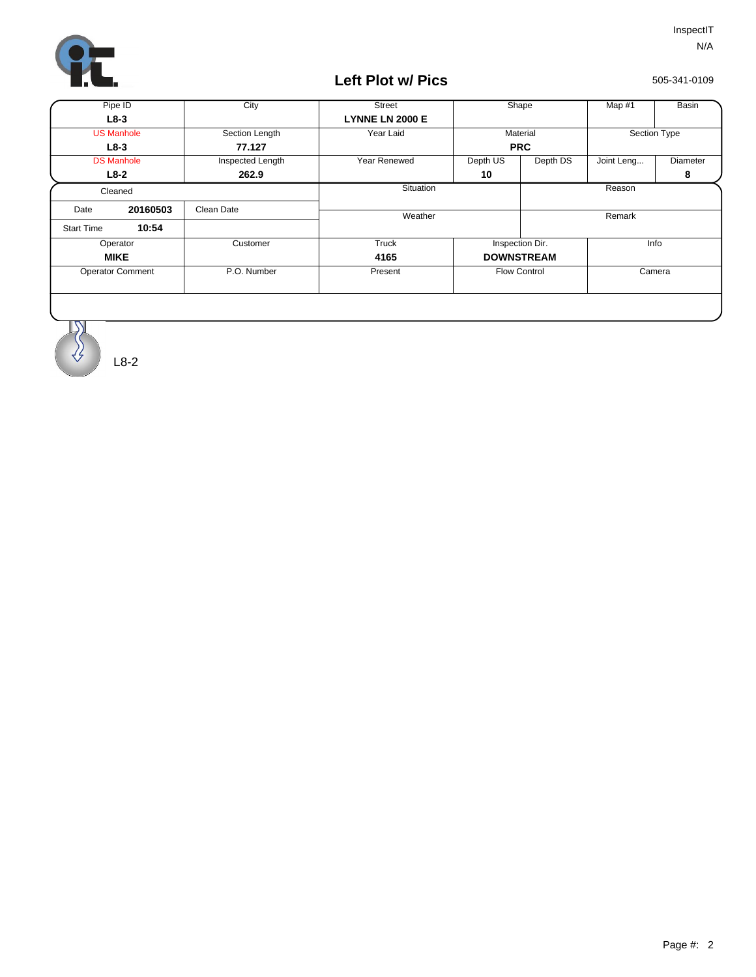

## **Left Plot w/ Pics**

505-341-0109

| Pipe ID                 |          | City             | <b>Street</b>          | Shape               |          | Map #1       | Basin    |
|-------------------------|----------|------------------|------------------------|---------------------|----------|--------------|----------|
| $L8-3$                  |          |                  | <b>LYNNE LN 2000 E</b> |                     |          |              |          |
| <b>US Manhole</b>       |          | Section Length   | Year Laid              | Material            |          | Section Type |          |
| $L8-3$                  |          | 77.127           |                        | <b>PRC</b>          |          |              |          |
| <b>DS Manhole</b>       |          | Inspected Length | <b>Year Renewed</b>    | Depth US            | Depth DS | Joint Leng   | Diameter |
| $L8-2$                  |          | 262.9            |                        | 10                  |          |              | 8        |
| Cleaned                 |          |                  | Situation              |                     |          | Reason       |          |
| Date                    | 20160503 | Clean Date       |                        |                     |          |              |          |
|                         |          |                  | Weather                |                     |          | Remark       |          |
| <b>Start Time</b>       | 10:54    |                  |                        |                     |          |              |          |
| Operator                |          | Customer         | Truck                  | Inspection Dir.     |          | Info         |          |
| <b>MIKE</b>             |          |                  | 4165                   | <b>DOWNSTREAM</b>   |          |              |          |
| <b>Operator Comment</b> |          | P.O. Number      | Present                | <b>Flow Control</b> |          | Camera       |          |
|                         |          |                  |                        |                     |          |              |          |
|                         |          |                  |                        |                     |          |              |          |
|                         |          |                  |                        |                     |          |              |          |

L8-2

 $\overline{\mathcal{S}}$ ∛